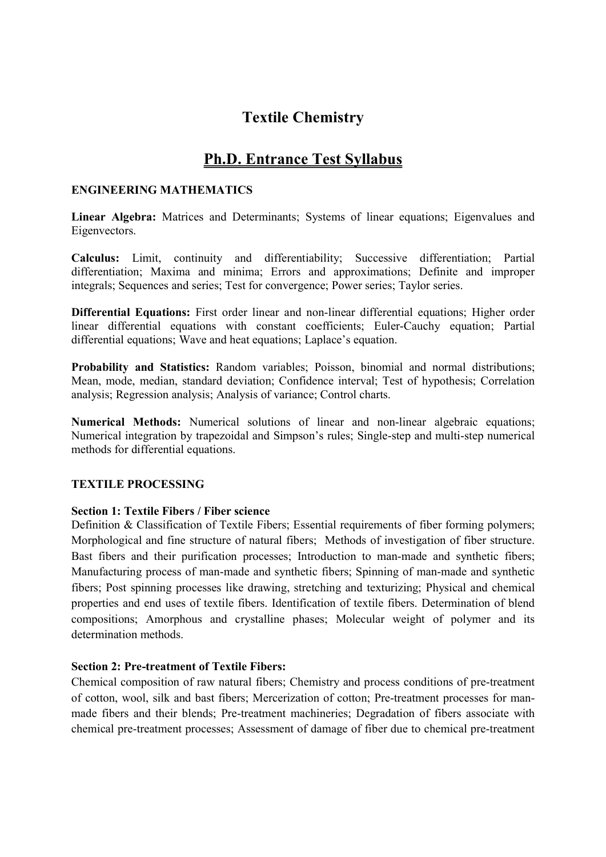# Textile Chemistry

# Ph.D. Entrance Test Syllabus

#### ENGINEERING MATHEMATICS

Linear Algebra: Matrices and Determinants; Systems of linear equations; Eigenvalues and Eigenvectors.

Calculus: Limit, continuity and differentiability; Successive differentiation; Partial differentiation; Maxima and minima; Errors and approximations; Definite and improper integrals; Sequences and series; Test for convergence; Power series; Taylor series.

Differential Equations: First order linear and non-linear differential equations; Higher order linear differential equations with constant coefficients; Euler-Cauchy equation; Partial differential equations; Wave and heat equations; Laplace's equation.

Probability and Statistics: Random variables; Poisson, binomial and normal distributions; Mean, mode, median, standard deviation; Confidence interval; Test of hypothesis; Correlation analysis; Regression analysis; Analysis of variance; Control charts.

Numerical Methods: Numerical solutions of linear and non-linear algebraic equations; Numerical integration by trapezoidal and Simpson's rules; Single-step and multi-step numerical methods for differential equations.

#### TEXTILE PROCESSING

#### Section 1: Textile Fibers / Fiber science

Definition & Classification of Textile Fibers; Essential requirements of fiber forming polymers; Morphological and fine structure of natural fibers; Methods of investigation of fiber structure. Bast fibers and their purification processes; Introduction to man-made and synthetic fibers; Manufacturing process of man-made and synthetic fibers; Spinning of man-made and synthetic fibers; Post spinning processes like drawing, stretching and texturizing; Physical and chemical properties and end uses of textile fibers. Identification of textile fibers. Determination of blend compositions; Amorphous and crystalline phases; Molecular weight of polymer and its determination methods.

### Section 2: Pre-treatment of Textile Fibers:

Chemical composition of raw natural fibers; Chemistry and process conditions of pre-treatment of cotton, wool, silk and bast fibers; Mercerization of cotton; Pre-treatment processes for manmade fibers and their blends; Pre-treatment machineries; Degradation of fibers associate with chemical pre-treatment processes; Assessment of damage of fiber due to chemical pre-treatment